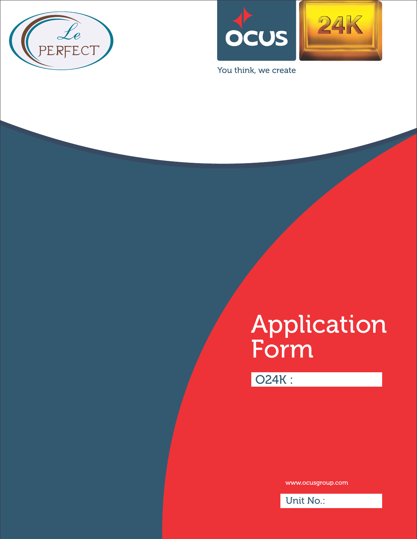



You think, we create

# Application Form

O24K :

www.ocusgroup.com

Unit No.: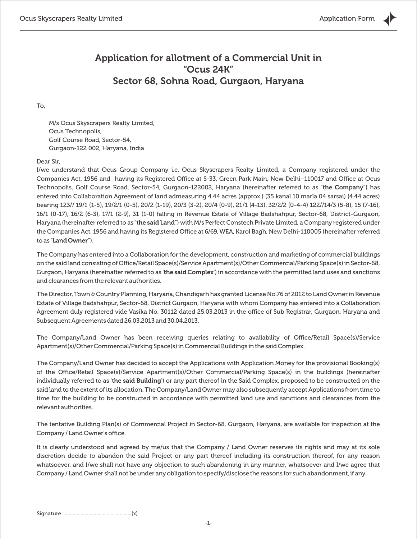# Application for allotment of a Commercial Unit in "Ocus 24K" Sector 68, Sohna Road, Gurgaon, Haryana

To,

M/s Ocus Skyscrapers Realty Limited, Ocus Technopolis, Golf Course Road, Sector-54, Gurgaon-122 002, Haryana, India

#### Dear Sir,

I/we understand that Ocus Group Company i.e. Ocus Skyscrapers Realty Limited, a Company registered under the Companies Act, 1956 and having its Registered Office at S-33, Green Park Main, New Delhi–110017 and Office at Ocus Technopolis, Golf Course Road, Sector-54, Gurgaon-122002, Haryana (hereinafter referred to as "the Company") has entered into Collaboration Agreement of land admeasuring 4.44 acres (approx.) (35 kanal 10 marla 04 sarsai) (4.44 acres) bearing 123// 19/1 (1-5), 19/2/1 (0-5), 20/2 (1-19), 20/3 (3-2), 20/4 (0-9), 21/1 (4-13), 32/2/2 (0-4-4) 122//14/3 (5-8), 15 (7-16), 16/1 (0-17), 16/2 (6-3), 17/1 (2-9), 31 (1-0) falling in Revenue Estate of Village Badshahpur, Sector-68, District-Gurgaon, Haryana (hereinafter referred to as "the said Land") with M/s Perfect Constech Private Limited, a Company registered under the Companies Act, 1956 and having its Registered Office at 6/69, WEA, Karol Bagh, New Delhi-110005 (hereinafter referred to as "Land Owner").

The Company has entered into a Collaboration for the development, construction and marketing of commercial buildings on the said land consisting of Office/Retail Space(s)/Service Apartment(s)/Other Commercial/Parking Space(s) in Sector-68, Gurgaon, Haryana (hereinafter referred to as 'the said Complex') in accordance with the permitted land uses and sanctions and clearances from the relevant authorities.

The Director, Town & Country Planning, Haryana, Chandigarh has granted License No.76 of 2012 to Land Owner in Revenue Estate of Village Badshahpur, Sector-68, District Gurgaon, Haryana with whom Company has entered into a Collaboration Agreement duly registered vide Vasika No. 30112 dated 25.03.2013 in the office of Sub Registrar, Gurgaon, Haryana and Subsequent Agreements dated 26.03.2013 and 30.04.2013.

The Company/Land Owner has been receiving queries relating to availability of Office/Retail Space(s)/Service Apartment(s)/Other Commercial/Parking Space(s) in Commercial Buildings in the said Complex.

The Company/Land Owner has decided to accept the Applications with Application Money for the provisional Booking(s) of the Office/Retail Space(s)/Service Apartment(s)/Other Commercial/Parking Space(s) in the buildings (hereinafter individually referred to as 'the said Building') or any part thereof in the Said Complex, proposed to be constructed on the said land to the extent of its allocation. The Company/Land Owner may also subsequently accept Applications from time to time for the building to be constructed in accordance with permitted land use and sanctions and clearances from the relevant authorities.

The tentative Building Plan(s) of Commercial Project in Sector-68, Gurgaon, Haryana, are available for inspection at the Company / Land Owner's office.

It is clearly understood and agreed by me/us that the Company / Land Owner reserves its rights and may at its sole discretion decide to abandon the said Project or any part thereof including its construction thereof, for any reason whatsoever, and I/we shall not have any objection to such abandoning in any manner, whatsoever and I/we agree that Company / Land Owner shall not be under any obligation to specify/disclose the reasons for such abandonment, if any.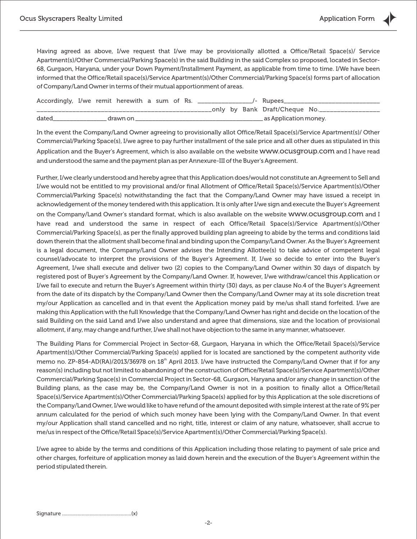Having agreed as above, I/we request that I/we may be provisionally allotted a Office/Retail Space(s)/ Service Apartment(s)/Other Commercial/Parking Space(s) in the said Building in the said Complex so proposed, located in Sector-68, Gurgaon, Haryana, under your Down Payment/Installment Payment, as applicable from time to time. I/We have been informed that the Office/Retail space(s)/Service Apartment(s)/Other Commercial/Parking Space(s) forms part of allocation of Company/Land Owner in terms of their mutual apportionment of areas.

| Accordingly, I/we remit herewith a sum of Rs. |  |          |  |  | <b>Example 1-1</b> Rupees |  |  |                                  |
|-----------------------------------------------|--|----------|--|--|---------------------------|--|--|----------------------------------|
|                                               |  |          |  |  |                           |  |  | _only by Bank Draft/Cheque No.__ |
| dated                                         |  | drawn on |  |  |                           |  |  | as Application money.            |

In the event the Company/Land Owner agreeing to provisionally allot Office/Retail Space(s)/Service Apartment(s)/ Other Commercial/Parking Space(s), I/we agree to pay further installment of the sale price and all other dues as stipulated in this Application and the Buyer's Agreement, which is also available on the website www.ocusgroup.com and I have read and understood the same and the payment plan as per Annexure-III of the Buyer's Agreement.

Further, I/we clearly understood and hereby agree that this Application does/would not constitute an Agreement to Sell and I/we would not be entitled to my provisional and/or final Allotment of Office/Retail Space(s)/Service Apartment(s)/Other Commercial/Parking Space(s) notwithstanding the fact that the Company/Land Owner may have issued a receipt in acknowledgement of the money tendered with this application. It is only after I/we sign and execute the Buyer's Agreement on the Company/Land Owner's standard format, which is also available on the website www.ocusgroup.com and I have read and understood the same in respect of each Office/Retail Space(s)/Service Apartment(s)/Other Commercial/Parking Space(s), as per the finally approved building plan agreeing to abide by the terms and conditions laid down therein that the allotment shall become final and binding upon the Company/Land Owner. As the Buyer's Agreement is a legal document, the Company/Land Owner advises the Intending Allottee(s) to take advice of competent legal counsel/advocate to interpret the provisions of the Buyer's Agreement. If, I/we so decide to enter into the Buyer's Agreement, I/we shall execute and deliver two (2) copies to the Company/Land Owner within 30 days of dispatch by registered post of Buyer's Agreement by the Company/Land Owner. If, however, I/we withdraw/cancel this Application or I/we fail to execute and return the Buyer's Agreement within thirty (30) days, as per clause No.4 of the Buyer's Agreement from the date of its dispatch by the Company/Land Owner then the Company/Land Owner may at its sole discretion treat my/our Application as cancelled and in that event the Application money paid by me/us shall stand forfeited. I/we are making this Application with the full Knowledge that the Company/Land Owner has right and decide on the location of the said Building on the said Land and I/we also understand and agree that dimensions, size and the location of provisional allotment, if any, may change and further, I/we shall not have objection to the same in any manner, whatsoever.

The Building Plans for Commercial Project in Sector-68, Gurgaon, Haryana in which the Office/Retail Space(s)/Service Apartment(s)/Other Commercial/Parking Space(s) applied for is located are sanctioned by the competent authority vide memo no. ZP-854-AD(RA)/2013/36978 on 18<sup>th</sup> April 2013. I/we have instructed the Company/Land Owner that if for any reason(s) including but not limited to abandoning of the construction of Office/Retail Space(s)/Service Apartment(s)/Other Commercial/Parking Space(s) in Commercial Project in Sector-68, Gurgaon, Haryana and/or any change in sanction of the Building plans, as the case may be, the Company/Land Owner is not in a position to finally allot a Office/Retail Space(s)/Service Apartment(s)/Other Commercial/Parking Space(s) applied for by this Application at the sole discretions of the Company/Land Owner, I/we would like to have refund of the amount deposited with simple interest at the rate of 9% per annum calculated for the period of which such money have been lying with the Company/Land Owner. In that event my/our Application shall stand cancelled and no right, title, interest or claim of any nature, whatsoever, shall accrue to me/us in respect of the Office/Retail Space(s)/Service Apartment(s)/Other Commercial/Parking Space(s).

I/we agree to abide by the terms and conditions of this Application including those relating to payment of sale price and other charges, forfeiture of application money as laid down herein and the execution of the Buyer's Agreement within the period stipulated therein.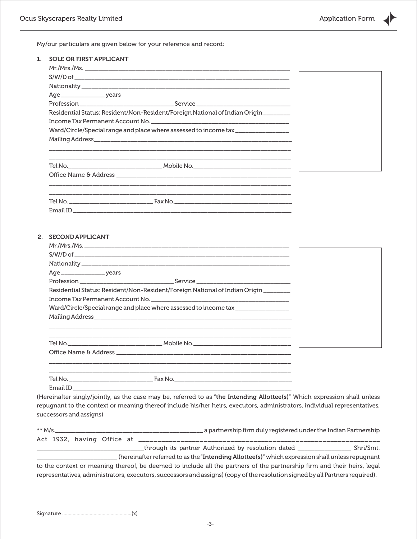My/our particulars are given below for your reference and record:

| Residential Status: Resident/Non-Resident/Foreign National of Indian Origin______<br>Ward/Circle/Special range and place where assessed to income tax _______________ |  |
|-----------------------------------------------------------------------------------------------------------------------------------------------------------------------|--|
|                                                                                                                                                                       |  |
|                                                                                                                                                                       |  |
|                                                                                                                                                                       |  |
|                                                                                                                                                                       |  |
|                                                                                                                                                                       |  |
|                                                                                                                                                                       |  |
|                                                                                                                                                                       |  |
|                                                                                                                                                                       |  |
|                                                                                                                                                                       |  |
|                                                                                                                                                                       |  |
|                                                                                                                                                                       |  |
|                                                                                                                                                                       |  |
|                                                                                                                                                                       |  |
|                                                                                                                                                                       |  |
|                                                                                                                                                                       |  |
|                                                                                                                                                                       |  |
| 2. SECOND APPLICANT                                                                                                                                                   |  |
|                                                                                                                                                                       |  |
|                                                                                                                                                                       |  |
|                                                                                                                                                                       |  |
|                                                                                                                                                                       |  |
|                                                                                                                                                                       |  |
| Residential Status: Resident/Non-Resident/Foreign National of Indian Origin _______                                                                                   |  |
|                                                                                                                                                                       |  |
| Ward/Circle/Special range and place where assessed to income tax _______________                                                                                      |  |
|                                                                                                                                                                       |  |
|                                                                                                                                                                       |  |
|                                                                                                                                                                       |  |
|                                                                                                                                                                       |  |
|                                                                                                                                                                       |  |
|                                                                                                                                                                       |  |
|                                                                                                                                                                       |  |

Email ID \_\_\_\_

(Hereinafter singly/jointly, as the case may be, referred to as "the Intending Allottee(s)" Which expression shall unless repugnant to the context or meaning thereof include his/her heirs, executors, administrators, individual representatives, successors and assigns)

| ** $M/s$ |  |  |                                                                                                 |  | a partnership firm duly registered under the Indian Partnership _ |  |  |  |  |
|----------|--|--|-------------------------------------------------------------------------------------------------|--|-------------------------------------------------------------------|--|--|--|--|
|          |  |  |                                                                                                 |  |                                                                   |  |  |  |  |
|          |  |  | through its partner Authorized by resolution dated ____________________Shri/Smt.                |  |                                                                   |  |  |  |  |
|          |  |  | (hereinafter referred to as the "Intending Allottee(s)" which expression shall unless repugnant |  |                                                                   |  |  |  |  |
|          |  |  |                                                                                                 |  |                                                                   |  |  |  |  |

to the context or meaning thereof, be deemed to include all the partners of the partnership firm and their heirs, legal representatives, administrators, executors, successors and assigns) (copy of the resolution signed by all Partners required).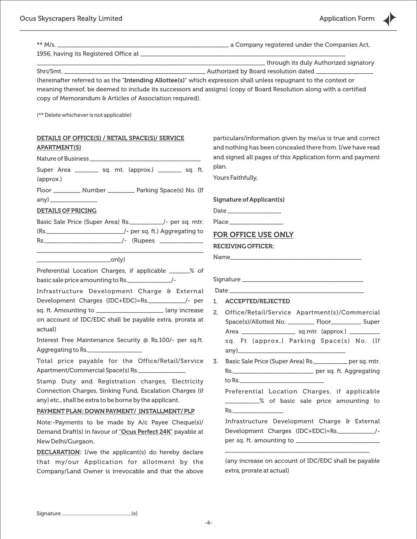| ** $M/s$ .                                                                                                         |                                                                                                                       |  |  |  |  |  |  |  |  |
|--------------------------------------------------------------------------------------------------------------------|-----------------------------------------------------------------------------------------------------------------------|--|--|--|--|--|--|--|--|
|                                                                                                                    |                                                                                                                       |  |  |  |  |  |  |  |  |
|                                                                                                                    |                                                                                                                       |  |  |  |  |  |  |  |  |
|                                                                                                                    |                                                                                                                       |  |  |  |  |  |  |  |  |
| (hereinafter referred to as the "Intending Allottee(s)" which expression shall unless repugnant to the context or  |                                                                                                                       |  |  |  |  |  |  |  |  |
| meaning thereof, be deemed to include its successors and assigns) (copy of Board Resolution along with a certified |                                                                                                                       |  |  |  |  |  |  |  |  |
| copy of Memorandum & Articles of Association required).                                                            |                                                                                                                       |  |  |  |  |  |  |  |  |
| (** Delete whichever is not applicable)                                                                            |                                                                                                                       |  |  |  |  |  |  |  |  |
| DETAILS OF OFFICE(S) / RETAIL SPACE(S)/ SERVICE                                                                    | particulars/information given by me/us is true and correct                                                            |  |  |  |  |  |  |  |  |
| <b>APARTMENT(S)</b>                                                                                                | and nothing has been concealed there from. I/we have read                                                             |  |  |  |  |  |  |  |  |
|                                                                                                                    | and signed all pages of this Application form and payment<br>plan.                                                    |  |  |  |  |  |  |  |  |
| Super Area _________ sq. mt. (approx.) _______ sq. ft.                                                             |                                                                                                                       |  |  |  |  |  |  |  |  |
| (approx.)                                                                                                          | Yours Faithfully,                                                                                                     |  |  |  |  |  |  |  |  |
| Floor _________ Number ________ Parking Space(s) No. (If                                                           |                                                                                                                       |  |  |  |  |  |  |  |  |
| any) _________________                                                                                             | Signature of Applicant(s)                                                                                             |  |  |  |  |  |  |  |  |
| <b>DETAILS OF PRICING</b>                                                                                          |                                                                                                                       |  |  |  |  |  |  |  |  |
| Basic Sale Price (Super Area) Rs. _________/- per sq. mtr.                                                         |                                                                                                                       |  |  |  |  |  |  |  |  |
|                                                                                                                    | FOR OFFICE USE ONLY                                                                                                   |  |  |  |  |  |  |  |  |
| <u> 1989 - Johann Barbara, martin amerikan basar da</u>                                                            | <b>RECEIVING OFFICER:</b>                                                                                             |  |  |  |  |  |  |  |  |
|                                                                                                                    | Name                                                                                                                  |  |  |  |  |  |  |  |  |
| Preferential Location Charges, if applicable ______% of                                                            |                                                                                                                       |  |  |  |  |  |  |  |  |
| basic sale price amounting to Rs.                                                                                  |                                                                                                                       |  |  |  |  |  |  |  |  |
| Infrastructure Development Charge & External                                                                       |                                                                                                                       |  |  |  |  |  |  |  |  |
| Development Charges (IDC+EDC)=Rs.___________/- per                                                                 | 1. ACCEPTED/REJECTED                                                                                                  |  |  |  |  |  |  |  |  |
| sq. ft. Amounting to ______________________ (any increase                                                          | 2.<br>Office/Retail/Service Apartment(s)/Commercial                                                                   |  |  |  |  |  |  |  |  |
| on account of IDC/EDC shall be payable extra, prorata at                                                           | Space(s)/Allotted No. _________ Floor__________ Super                                                                 |  |  |  |  |  |  |  |  |
| actual)                                                                                                            | Area ________________________ sq.mtr. (approx.) ___________                                                           |  |  |  |  |  |  |  |  |
| Interest Free Maintenance Security @ Rs.100/- per sq.ft.<br>Aggregating to Rs.                                     | sq. Ft (approx.) Parking Space(s) No. (If<br>$\{any\}$                                                                |  |  |  |  |  |  |  |  |
| Total price payable for the Office/Retail/Service                                                                  | Basic Sale Price (Super Area) Rs. _________ per sq. mtr.<br>3.                                                        |  |  |  |  |  |  |  |  |
| Apartment/Commercial Space(s) Rs.                                                                                  |                                                                                                                       |  |  |  |  |  |  |  |  |
| Stamp Duty and Registration charges, Electricity                                                                   |                                                                                                                       |  |  |  |  |  |  |  |  |
| Connection Charges, Sinking Fund, Escalation Charges (if                                                           | Preferential Location Charges, if applicable                                                                          |  |  |  |  |  |  |  |  |
| any) etc., shall be extra to be borne by the applicant.                                                            | __________% of basic sale price amounting to                                                                          |  |  |  |  |  |  |  |  |
| PAYMENT PLAN: DOWN PAYMENT/ INSTALLMENT/ PLP                                                                       |                                                                                                                       |  |  |  |  |  |  |  |  |
| Note:-Payments to be made by A/c Payee Cheque(s)/                                                                  | Infrastructure Development Charge & External                                                                          |  |  |  |  |  |  |  |  |
| Demand Draft(s) in favour of "Ocus Perfect 24K" payable at                                                         | Development Charges (IDC+EDC)=Rs.____________/-                                                                       |  |  |  |  |  |  |  |  |
| New Delhi/Gurgaon.                                                                                                 | <u> 1989 - Johann John Stone, markin amerikan basar dan berkembang di banyak di banyak di banyak di banyak di ban</u> |  |  |  |  |  |  |  |  |
| <b>DECLARATION:</b> I/we the applicant(s) do hereby declare                                                        |                                                                                                                       |  |  |  |  |  |  |  |  |
| that my/our Application for allotment by the<br>Company/Land Owner is irrevocable and that the above               | (any increase on account of IDC/EDC shall be payable<br>extra, prorate at actual)                                     |  |  |  |  |  |  |  |  |
|                                                                                                                    |                                                                                                                       |  |  |  |  |  |  |  |  |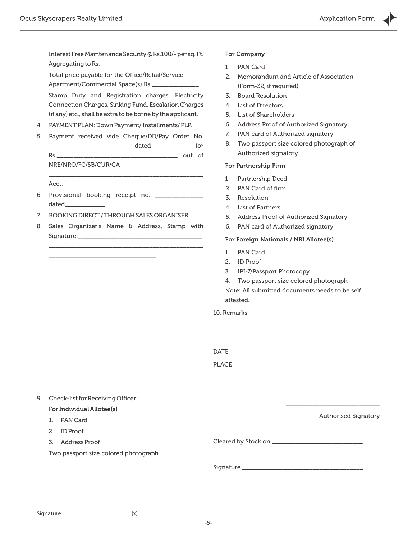Interest Free Maintenance Security @ Rs.100/- per sq. Ft. Aggregating to Rs.

Total price payable for the Office/Retail/Service Apartment/Commercial Space(s) Rs.

Stamp Duty and Registration charges, Electricity Connection Charges, Sinking Fund, Escalation Charges (if any) etc., shall be extra to be borne by the applicant.

- 4. PAYMENTPLAN: Down Payment/ Installments/ PLP.
- 5. Payment received vide Cheque/DD/Pay Order No. \_\_\_\_\_\_\_\_\_\_\_\_\_\_\_\_\_\_\_\_\_\_\_\_\_ dated \_\_\_\_\_\_\_\_\_\_\_\_ for Rs.\_\_\_\_\_\_\_\_\_\_\_\_\_\_\_\_\_\_\_\_\_\_\_\_\_\_\_\_\_\_\_\_\_\_\_\_ out of

NRE/NRO/FC/SB/CUR/CA \_\_\_\_\_\_\_\_\_\_\_\_\_\_\_\_\_\_\_\_\_\_\_\_

\_\_\_\_\_\_\_\_\_\_\_\_\_\_\_\_\_\_\_\_\_\_\_\_\_\_\_\_\_\_\_\_\_\_\_\_\_\_\_\_\_\_\_\_\_\_  $Acct$ .

- 6. Provisional booking receipt no. \_\_\_\_\_\_\_\_\_\_\_\_\_\_ dated\_\_\_\_\_\_\_\_\_\_\_\_
- 7. BOOKING DIRECT/ THROUGH SALES ORGANISER

\_\_\_\_\_\_\_\_\_\_\_\_\_\_\_\_\_\_\_\_\_\_\_\_\_\_\_\_\_\_\_\_

8. Sales Organizer's Name & Address, Stamp with Signature:\_\_\_\_\_\_\_\_\_\_\_\_\_\_\_\_\_\_\_\_\_\_\_\_\_\_\_\_\_\_\_\_\_\_\_\_\_

\_\_\_\_\_\_\_\_\_\_\_\_\_\_\_\_\_\_\_\_\_\_\_\_\_\_\_\_\_\_\_\_\_\_\_\_\_\_\_\_\_\_\_\_\_\_



### 9. Check-list for Receiving Officer:

#### For Individual Allotee(s)

- 1. PAN Card
- 2. ID Proof
- 3. Address Proof

Two passport size colored photograph

For Company

- 1. PAN Card
- 2. Memorandum and Article of Association (Form-32, if required)
- 3. Board Resolution
- 4. List of Directors
- 5. List of Shareholders
- 6. Address Proof of Authorized Signatory
- 7. PAN card of Authorized signatory
- 8. Two passport size colored photograph of Authorized signatory

#### For Partnership Firm

- 1. Partnership Deed
- 2. PAN Card of firm
- 3. Resolution
- 4. List of Partners
- 5. Address Proof of Authorized Signatory
- 6. PAN card of Authorized signatory

#### For Foreign Nationals / NRI Allotee(s)

- 1. PAN Card
- 2. ID Proof
- 3. IPI-7/Passport Photocopy
- 4. Two passport size colored photograph
- Note: All submitted documents needs to be self attested.

\_\_\_\_\_\_\_\_\_\_\_\_\_\_\_\_\_\_\_\_\_\_\_\_\_\_\_\_\_\_\_\_\_\_\_\_\_\_\_\_\_\_\_\_\_\_\_\_\_ \_\_\_\_\_\_\_\_\_\_\_\_\_\_\_\_\_\_\_\_\_\_\_\_\_\_\_\_\_\_\_\_\_\_\_\_\_\_\_\_\_\_\_\_\_\_\_\_\_

10. Remarks\_\_\_\_\_\_\_\_\_\_\_\_\_\_\_\_\_\_\_\_\_\_\_\_\_\_\_\_\_\_\_\_\_\_\_\_\_\_\_

DATE \_\_\_\_\_\_\_\_\_\_\_\_\_\_\_\_\_\_\_

PLACE  $\overline{\phantom{a}}$ 

Authorised Signatory

\_\_\_\_\_\_\_\_\_\_\_\_\_\_\_\_\_\_\_\_\_\_\_\_\_\_\_\_

Cleared by Stock on \_\_\_\_\_\_\_\_\_\_\_\_\_\_\_\_\_\_\_\_\_\_\_\_\_\_\_

Signature \_\_\_\_\_\_\_\_\_\_\_\_\_\_\_\_\_\_\_\_\_\_\_\_\_\_\_\_\_\_\_\_\_\_\_\_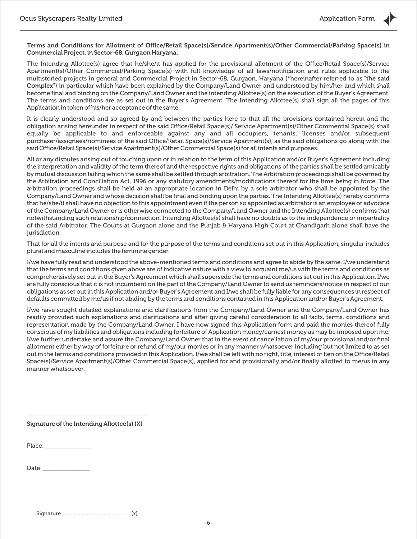Terms and Conditions for Allotment of Office/Retail Space(s)/Service Apartment(s)/Other Commercial/Parking Space(s) in Commercial Project, in Sector-68, Gurgaon Haryana.

The Intending Allottee(s) agree that he/she/it has applied for the provisional allotment of the Office/Retail Space(s)/Service Apartment(s)/Other Commercial/Parking Space(s) with full knowledge of all laws/notification and rules applicable to the multistoried projects in general and Commercial Project in Sector-68, Gurgaon, Haryana (\*hereinafter referred to as "the said Complex") in particular which have been explained by the Company/Land Owner and understood by him/her and which shall become final and binding on the Company/Land Owner and the intending Allottee(s) on the execution of the Buyer's Agreement. The terms and conditions are as set out in the Buyer's Agreement. The Intending Allottee(s) shall sign all the pages of this Application in token of his/her acceptance of the same.

It is clearly understood and so agreed by and between the parties here to that all the provisions contained herein and the obligation arising hereunder in respect of the said Office/Retail Space(s)/ Service Apartment(s)/Other Commercial Space(s) shall equally be applicable to and enforceable against any and all occupiers, tenants, licenses and/or subsequent purchaser/assignees/nominees of the said Office/Retail Space(s)/Service Apartment(s), as the said obligations go along with the said Office/Retail Space(s)/Service Apartment(s)/Other Commercial Space(s) for all intents and purposes.

All or any disputes arising out of touching upon or in relation to the term of this Application and/or Buyer's Agreement including the interpretation and validity of the term thereof and the respective rights and obligations of the parties shall be settled amicably by mutual discussion failing which the same shall be settled through arbitration. The Arbitration proceedings shall be governed by the Arbitration and Conciliation Act, 1996 or any statutory amendments/modifications thereof for the time being in force. The arbitration proceedings shall be held at an appropriate location in Delhi by a sole arbitrator who shall be appointed by the Company/Land Owner and whose decision shall be final and binding upon the parties. The Intending Allottee(s) hereby confirms that he/she/it shall have no objection to this appointment even if the person so appointed as arbitrator is an employee or advocate of the Company/Land Owner or is otherwise connected to the Company/Land Owner and the Intending Allottee(s) confirms that notwithstanding such relationship/connection, Intending Allottee(s) shall have no doubts as to the independence or impartiality of the said Arbitrator. The Courts at Gurgaon alone and the Punjab & Haryana High Court at Chandigarh alone shall have the jurisdiction.

That for all the intents and purpose and for the purpose of the terms and conditions set out in this Application, singular includes plural and masculine includes the feminine gender.

I/we have fully read and understood the above-mentioned terms and conditions and agree to abide by the same. I/we understand that the terms and conditions given above are of indicative nature with a view to acquaint me/us with the terms and conditions as comprehensively set out in the Buyer's Agreement which shall supersede the terms and conditions set out in this Application. I/we are fully conscious that it is not incumbent on the part of the Company/Land Owner to send us reminders/notice in respect of our obligations as set out in this Application and/or Buyer's Agreement and I/we shall be fully liable for any consequences in respect of defaults committed by me/us if not abiding by the terms and conditions contained in this Application and/or Buyer's Agreement.

I/we have sought detailed explanations and clarifications from the Company/Land Owner and the Company/Land Owner has readily provided such explanations and clarifications and after giving careful consideration to all facts, terms, conditions and representation made by the Company/Land Owner, I have now signed this Application form and paid the monies thereof fully conscious of my liabilities and obligations including forfeiture of Application money/earnest money as may be imposed upon me. I/we further undertake and assure the Company/Land Owner that in the event of cancellation of my/our provisional and/or final allotment either by way of forfeiture or refund of my/our monies or in any manner whatsoever including but not limited to as set out in the terms and conditions provided in this Application. I/we shall be left with no right, title, interest or lien on the Office/Retail Space(s)/Service Apartment(s)/Other Commercial Space(s), applied for and provisionally and/or finally allotted to me/us in any manner whatsoever.

\_\_\_\_\_\_\_\_\_\_\_\_\_\_\_\_\_\_\_\_\_\_\_\_\_\_\_\_\_\_\_\_\_\_\_\_ Signature of the Intending Allottee(s) (X)

Place:

Date:  $\_\_$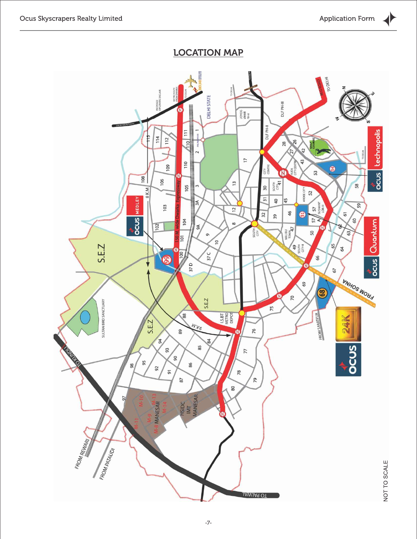## LOCATION MAP